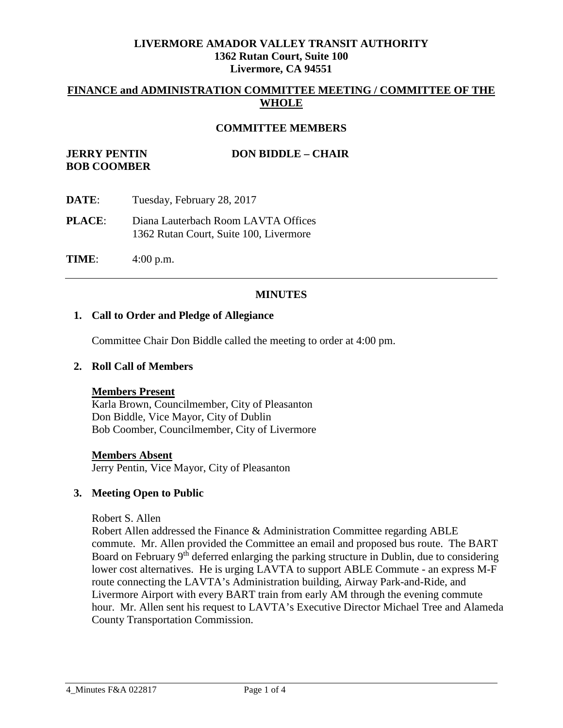## **LIVERMORE AMADOR VALLEY TRANSIT AUTHORITY 1362 Rutan Court, Suite 100 Livermore, CA 94551**

## **FINANCE and ADMINISTRATION COMMITTEE MEETING / COMMITTEE OF THE WHOLE**

### **COMMITTEE MEMBERS**

# **JERRY PENTIN DON BIDDLE – CHAIR BOB COOMBER**

- **DATE**: Tuesday, February 28, 2017
- **PLACE**: Diana Lauterbach Room LAVTA Offices 1362 Rutan Court, Suite 100, Livermore

**TIME**: 4:00 p.m.

### **MINUTES**

#### **1. Call to Order and Pledge of Allegiance**

Committee Chair Don Biddle called the meeting to order at 4:00 pm.

### **2. Roll Call of Members**

#### **Members Present**

Karla Brown, Councilmember, City of Pleasanton Don Biddle, Vice Mayor, City of Dublin Bob Coomber, Councilmember, City of Livermore

#### **Members Absent**

Jerry Pentin, Vice Mayor, City of Pleasanton

### **3. Meeting Open to Public**

Robert S. Allen

Robert Allen addressed the Finance & Administration Committee regarding ABLE commute. Mr. Allen provided the Committee an email and proposed bus route. The BART Board on February 9<sup>th</sup> deferred enlarging the parking structure in Dublin, due to considering lower cost alternatives. He is urging LAVTA to support ABLE Commute - an express M-F route connecting the LAVTA's Administration building, Airway Park-and-Ride, and Livermore Airport with every BART train from early AM through the evening commute hour. Mr. Allen sent his request to LAVTA's Executive Director Michael Tree and Alameda County Transportation Commission.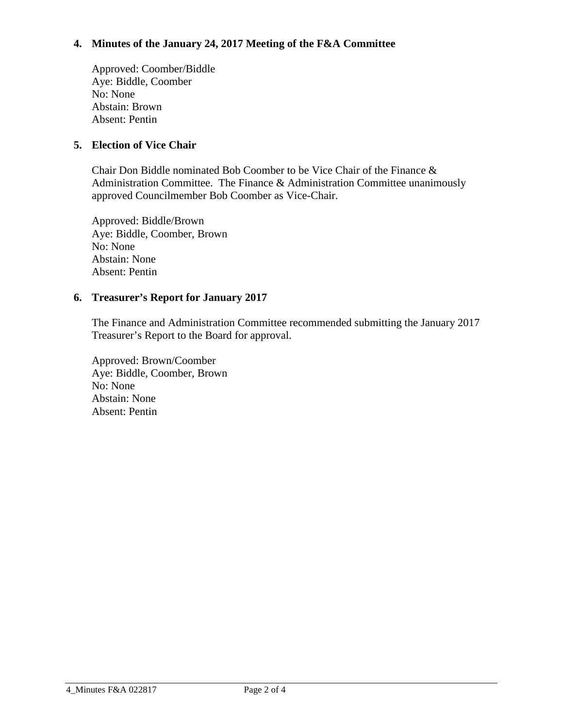# **4. Minutes of the January 24, 2017 Meeting of the F&A Committee**

Approved: Coomber/Biddle Aye: Biddle, Coomber No: None Abstain: Brown Absent: Pentin

## **5. Election of Vice Chair**

Chair Don Biddle nominated Bob Coomber to be Vice Chair of the Finance & Administration Committee. The Finance & Administration Committee unanimously approved Councilmember Bob Coomber as Vice-Chair.

Approved: Biddle/Brown Aye: Biddle, Coomber, Brown No: None Abstain: None Absent: Pentin

## **6. Treasurer's Report for January 2017**

The Finance and Administration Committee recommended submitting the January 2017 Treasurer's Report to the Board for approval.

Approved: Brown/Coomber Aye: Biddle, Coomber, Brown No: None Abstain: None Absent: Pentin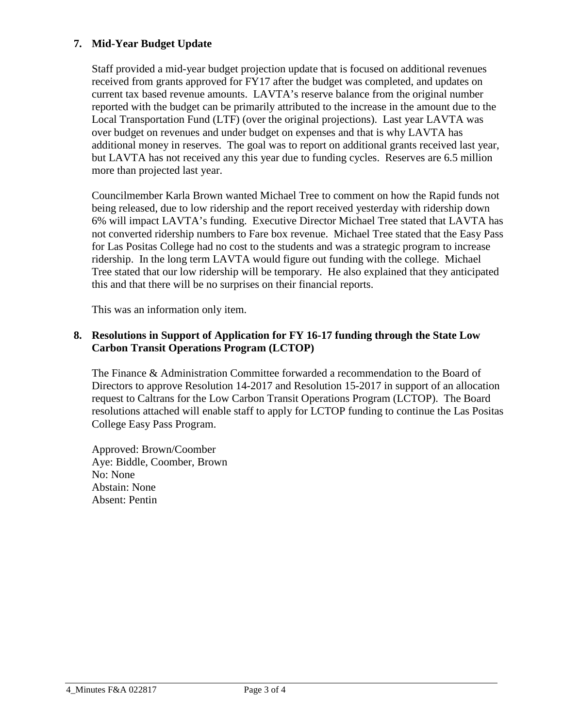# **7. Mid-Year Budget Update**

Staff provided a mid-year budget projection update that is focused on additional revenues received from grants approved for FY17 after the budget was completed, and updates on current tax based revenue amounts. LAVTA's reserve balance from the original number reported with the budget can be primarily attributed to the increase in the amount due to the Local Transportation Fund (LTF) (over the original projections). Last year LAVTA was over budget on revenues and under budget on expenses and that is why LAVTA has additional money in reserves. The goal was to report on additional grants received last year, but LAVTA has not received any this year due to funding cycles. Reserves are 6.5 million more than projected last year.

Councilmember Karla Brown wanted Michael Tree to comment on how the Rapid funds not being released, due to low ridership and the report received yesterday with ridership down 6% will impact LAVTA's funding. Executive Director Michael Tree stated that LAVTA has not converted ridership numbers to Fare box revenue. Michael Tree stated that the Easy Pass for Las Positas College had no cost to the students and was a strategic program to increase ridership. In the long term LAVTA would figure out funding with the college. Michael Tree stated that our low ridership will be temporary. He also explained that they anticipated this and that there will be no surprises on their financial reports.

This was an information only item.

## **8. Resolutions in Support of Application for FY 16-17 funding through the State Low Carbon Transit Operations Program (LCTOP)**

The Finance & Administration Committee forwarded a recommendation to the Board of Directors to approve Resolution 14-2017 and Resolution 15-2017 in support of an allocation request to Caltrans for the Low Carbon Transit Operations Program (LCTOP). The Board resolutions attached will enable staff to apply for LCTOP funding to continue the Las Positas College Easy Pass Program.

Approved: Brown/Coomber Aye: Biddle, Coomber, Brown No: None Abstain: None Absent: Pentin